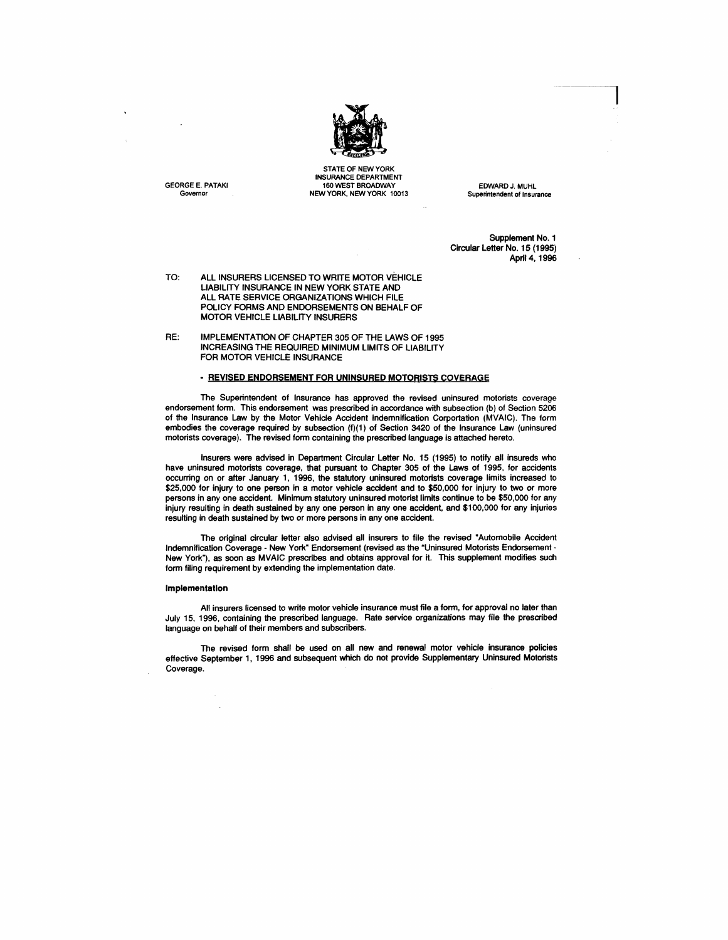

STATE OF NEW YORK INSURANCE DEPARTMENT GEORGE E. PATAKI 160 WEST BROADWAY 160 WEST BROADWAY EDWARD J. MUHL Governor CONTENT AND MEW YORK. NEW YORK 10013

Superintendent of Insurance

Supplement No.1 Circular Letter No. 15 (1995) April 4, 1996

TO: ALL INSURERS LICENSED TO WRITE MOTOR VEHICLE LIABILITY INSURANCE IN NEW YORK STATE AND ALL RATE SERVICE ORGANIZATIONS WHICH FILE POLICY FORMS AND ENDORSEMENTS ON BEHALF OF MOTOR VEHtCLE LIABILITY INSURERS

RE: IMPLEMENTATION OF CHAPTER 305 OF THE LAWS OF 1995 INCREASING THE REQUIRED MINIMUM LIMITS OF LIABILITY FOR MOTOR VEHICLE INSURANCE

# - REVISED ENDORSEMENT FOR UNINSURED MOTORISTS COVERAGE

The Superintendent of Insurance has approved the revised uninsured motorists coverage endorsement form. This endorsement was prescribed in accordance with subsection (b) of Section 5206 of the Insurance Law by the Motor Vehicle Accident Indemnification Corportation (MVAIC). The form embodies the coverage required by subsection (f)(1) of Section 3420 of the Insurance Law (uninsured motorists coverage). The revised form containing the prescribed language is attached hereto.

Insurers were advised in Department Circular Letter No. 15 (1995) to notify all insureds who have uninsured motorists coverage, that pursuant to Chapter 305 of the Laws of 1995, for accidents occurring on or after January 1, 1996, the statutory uninsured motorists coverage limits increased to \$25,000 for injury to one person in a motor vehicle accident and to \$50,000 for injury to two or more persons in anyone accident. Minimum statutory uninsured motorist limits continue to be \$50,000 for any injury resulting in death sustained by anyone person in anyone accident, and \$100,000 for any injuries resulting in death sustained by two or more persons in anyone accident.

The original circular letter also advised all insurers to file the revised "Automobile Accident Indemnification Coverage - New York" Endorsement (revised as the "Uninsured Motorists Endorsement-New York"), as soon as MVAIC prescribes and obtains approval for it. This supplement modifies such form filing requirement by extending the implementation date.

#### Implementation

All insurers licensed to write motor vehicle insurance must file a form. for approval no later than July 15. 1996. containing the prescribed language. Rate service organizations may file the prescribed language on behalf of their members and subscribers.

The revised form shall be used on all new and renewal motor vehicle insurance policies effective September 1, 1996 and subsequent which do not provide Supplementary Uninsured Motorists Coverage.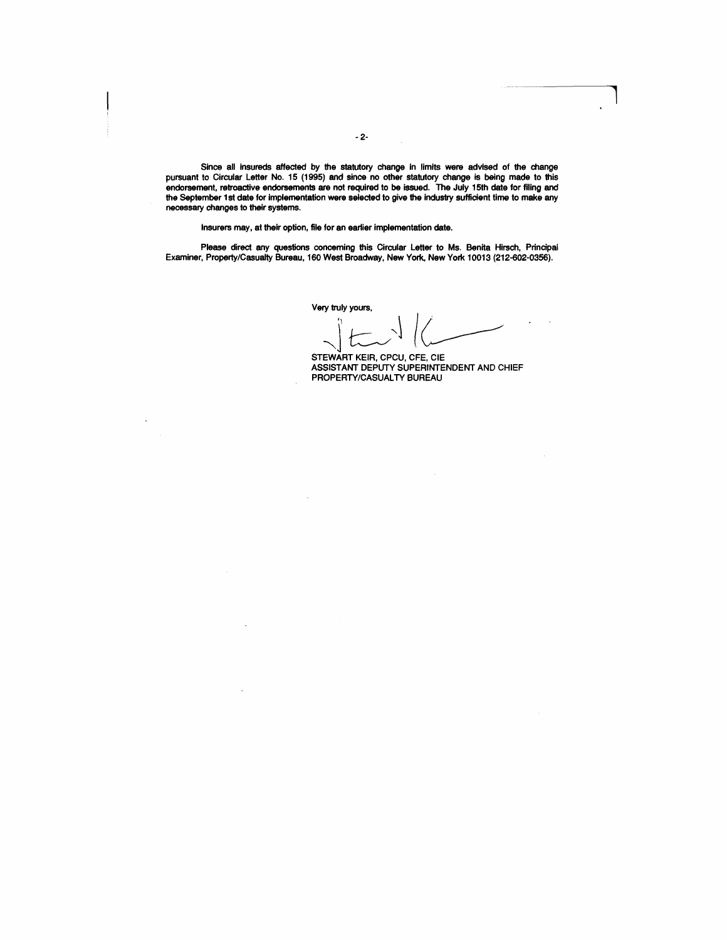Since all insureds affected by the statutory change in limits were advised of the change pursuant to Circular Letter No. 15 (1995) and since no other statutory change is being made to this endorsement, retroactive endorsements are not required to be issued. The July 15th date for filing and the September 1 st date for implementation were selected to give the industry sufficient time to make any necessary changes to their systems.

Insurers may, at their option, file for an earlier implementation date.

Please direct any questions concerning this Circular Letter to Ms. Benita Hirsch, Principal Examiner, Property/Casualty Bureau, 160 West Broadway, New York, New York 10013 (212-602-0356).

Very truly yours,<br> $\left\{\begin{matrix} 1 & 1 \\ 1 & 1 \end{matrix}\right\}$ 

STEWART KEIR, CPCU, CFE, CIE ASSISTANT DEPUTY SUPERINTENDENT AND CHIEF PROPERTY/CASUALTY BUREAU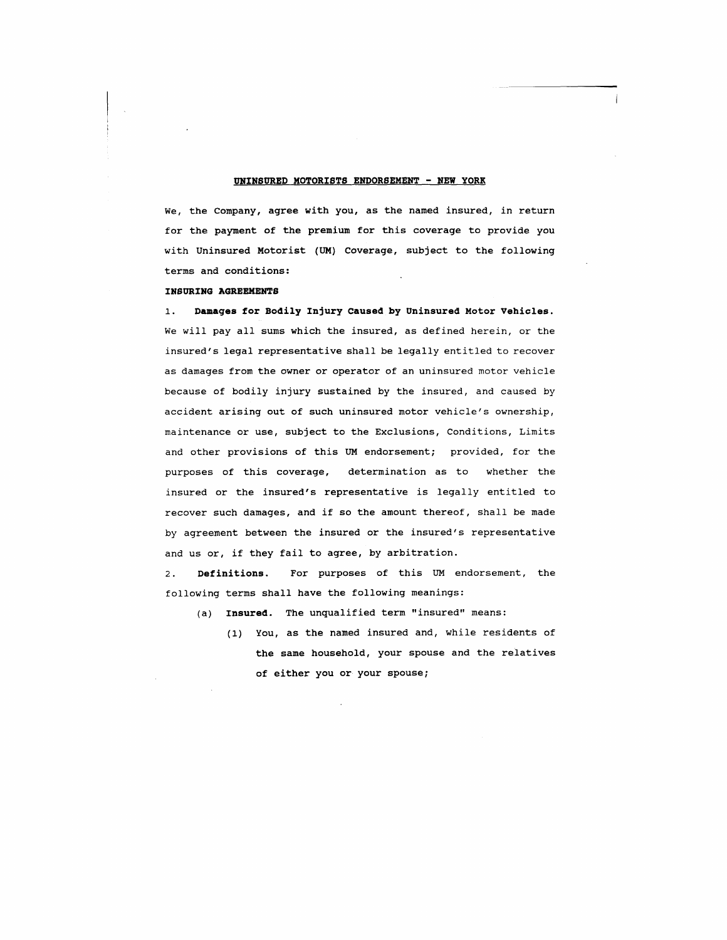## **UNINSURED MOTORISTS ENDORSEMENT - NEW YORK**

We, the Company, agree with you, as the named insured, in return for the payment of the premium for this coverage to provide you with Uninsured Motorist (UM) Coverage, subject to the following terms and conditions:

### **INSURING AGREEMENTS**

1. **Damages for Bodily Injury Caused by Uninsured Motor Vehicles.**  We will pay all sums which the insured, as defined herein, or the insured's legal representative shall be legally entitled to recover as damages from the owner or operator of an uninsured motor vehicle because of bodily injury sustained by the insured, and caused by accident arising out of such uninsured motor vehicle's ownership, maintenance or use, subject to the Exclusions, Conditions, Limits and other provisions of this UM endorsement; provided, for the purposes of this coverage, determination as to whether the insured or the insured's representative is legally entitled to recover such damages, and if so the amount thereof, shall be made by agreement between the insured or the insured's representative and us or, if they fail to agree, by arbitration.

2 . **Definitions** . For purposes of this UM endorsement, the following terms shall have the following meanings:

- (a) **Insured.** The unqualified term "insured" means:
	- (1) You, as the named insured and, while residents of the same household, your spouse and the relatives of either you or your spouse;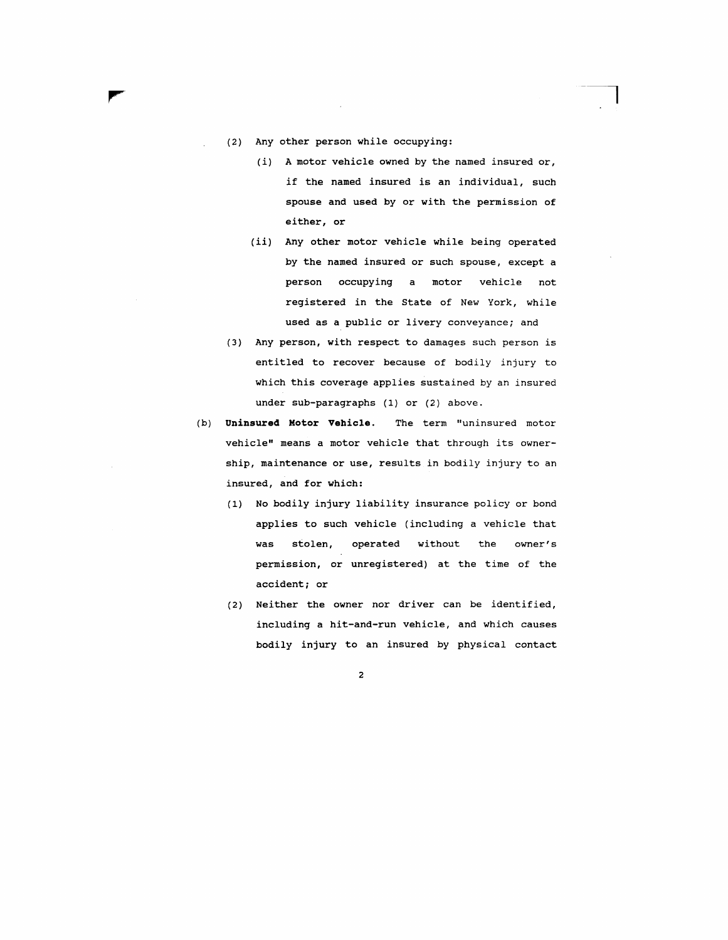- (2) Any other person while occupying:
	- *(i)* A motor vehicle owned by the named insured or, if the named insured is an individual, such spouse and used by or with the permission of either, or
	- *(ii)* Any other motor vehicle while being operated by the named insured or such spouse, except a person occupying a motor vehicle not registered in the State of New York, while used as a public or livery conveyance; and
- (3) Any person, with respect to damages such person is entitled to recover because of bodily injury to which this coverage applies sustained by an insured under sub-paragraphs (1) or (2) above.
- (b) **Uninsured Motor Vehicle.** The term "uninsured motor vehicle" means a motor vehicle that through its ownership, maintenance or use, results in bodily injury to an insured, and for which:
	- (1) No bodily injury liability insurance policy or bond applies to such vehicle (including a vehicle that was stolen, operated without the owner's permission, or unregistered) at the time of the accident; or
	- (2) Neither the owner nor driver can be identified, including a hit-and-run vehicle, and which causes bodily injury to an insured by physical contact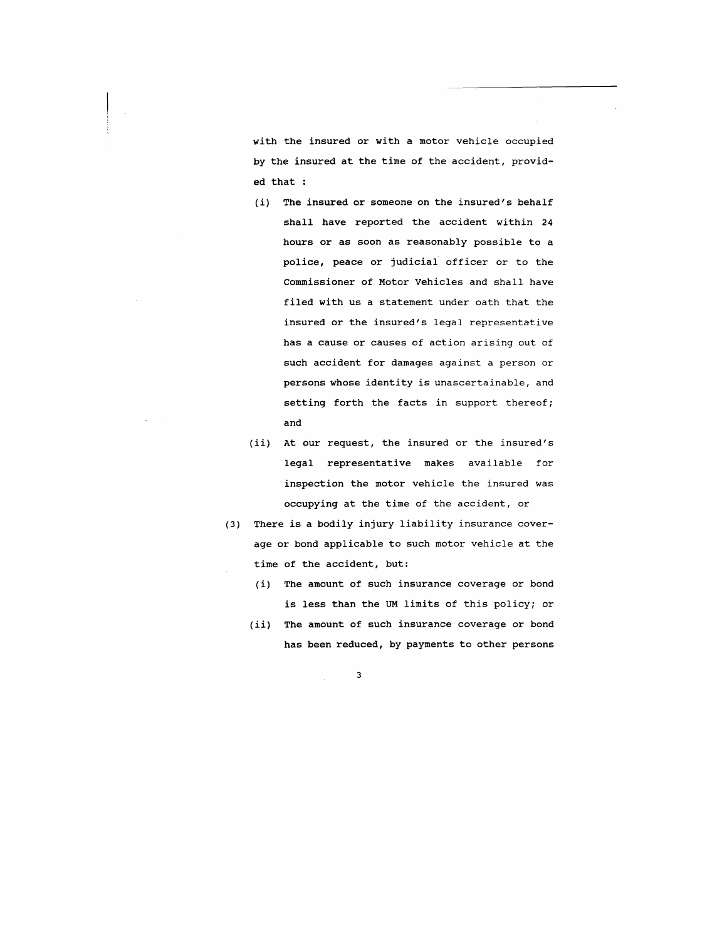with the insured or with a motor vehicle occupied by the insured at the time of the accident, provided that :

- (i) The insured or someone on the insured's behalf shall have reported the accident within 24 hours or as soon as reasonably possible to a police, peace or judicial officer or to the Commissioner of Motor Vehicles and shall have filed with us a statement under oath that the insured or the insured's legal representative has a cause or causes of action arising out of such accident for damages against a person or persons whose identity is unascertainable, and setting forth the facts in support thereof; and
- (ii) At our request, the insured or the insured's legal representative makes available for inspection the motor vehicle the insured was occupying at the time of the accident, or
- (3) There is a bodily injury liability insurance coverage or bond applicable to such motor vehicle at the time of the accident, but:
	- (i) The amount of such insurance coverage or bond is less than the UM limits of this policy; or
	- (ii) The amount of such insurance coverage or bond has been reduced, by payments to other persons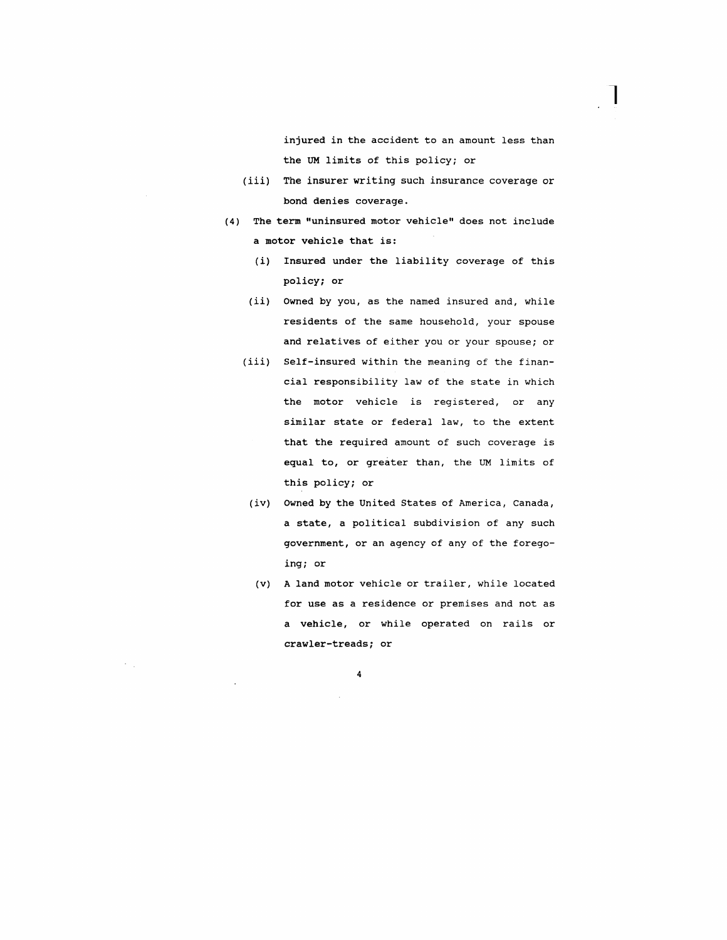injured in the accident to an amount less than the UM limits of this policy; or

1

- *(iii)* The insurer writing such insurance coverage or bond denies coverage.
- (4) The term "uninsured motor vehicle" does not include a motor vehicle that is:
	- *(i)* Insured under the liability coverage of this policy; or
	- (ii) Owned by you, as the named insured and, while residents of the same household, your spouse and relatives of either you or your spouse; or
	- (iii) Self-insured within the meaning of the financial responsibility law of the state in which the motor vehicle is registered, or any similar state or federal law, to the extent that the required amount of such coverage is equal to, or greater than, the UM limits of this policy; or
	- (iv) Owned by the united States of America, Canada, a state, a political subdivision of any such government, or an agency of any of the foregoing; or
	- (v) A land motor vehicle or trailer, while located for use as a residence or premises and not as a vehicle, or while operated on rails or crawler-treads; or

4

 $\epsilon_{\rm{max}}$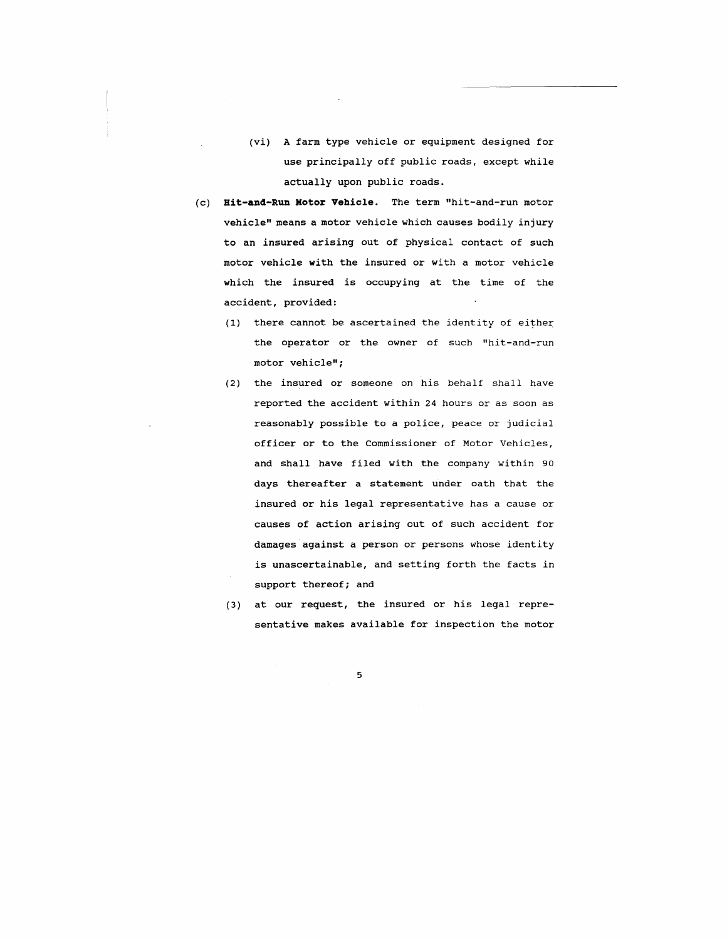- (vi) A farm type vehicle or equipment designed for use principally off public roads, except while actually upon public roads.
- (c) **Bit-and-Run Motor Vehicle.** The term "hit-and-run motor vehicle" means a motor vehicle which causes bodily injury to an insured arising out of physical contact of such motor vehicle with the insured or with a motor vehicle which the insured is occupying at the time of the accident, provided:
	- $(1)$  there cannot be ascertained the identity of either the operator or the owner of such "hit-and-run motor vehicle";
	- $(2)$  the insured or someone on his behalf shall have reported the accident within 24 hours or as soon as reasonably possible to a police, peace or judicial officer or to the Commissioner of Motor Vehicles, and shall have filed with the company within 90 days thereafter a statement under oath that the insured or his legal representative has a cause or causes of action arising out of such accident for damages against a person or persons whose identity is unascertainable, and setting forth the facts in support thereof; and
	- (3) at our request, the insured or his legal representative makes available for inspection the motor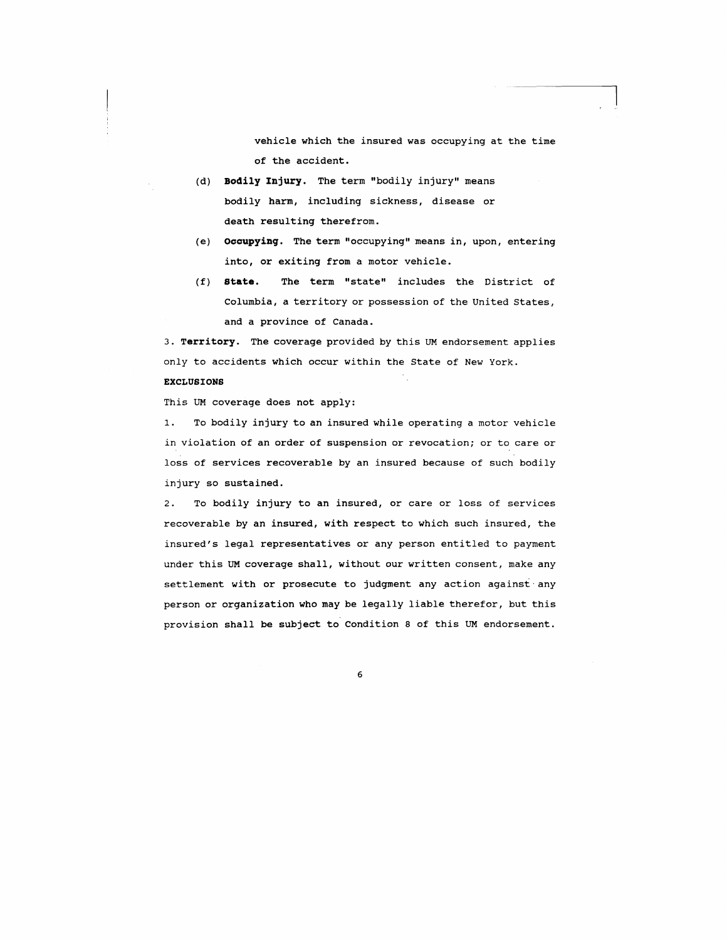vehicle which the insured was occupying at the time of the accident.

- (d) **Bodily Injury.** The term "bodily injury" means bodily harm, including sickness, disease or death resulting therefrom.
- (e) **occupyinq.** The term "occupying" means in, upon, entering into, or exiting from a motor vehicle.
- (f) **state.** The term "state" includes the District of Columbia, a territory or possession of the united states, and a province of Canada.

3. **Territory.** The coverage provided by this UM endorsement applies only to accidents which occur within the State of New York.

## **EXCLUSIONS**

This UM coverage does not apply:

1. To bodily injury to an insured while operating a motor vehicle in violation of an order of suspension or revocation; or to care or loss of services recoverable by an insured because of such bodily injury so sustained.

2. To bodily injury to an insured, or care or loss of services recoverable by an insured, with respect to which such insured, the insured's legal representatives or any person entitled to payment under this UM coverage shall, without our written consent, make any settlement with or prosecute to judgment any action against any person or organization who may be legally liable therefor, but this provision shall be subject to Condition 8 of this UM endorsement.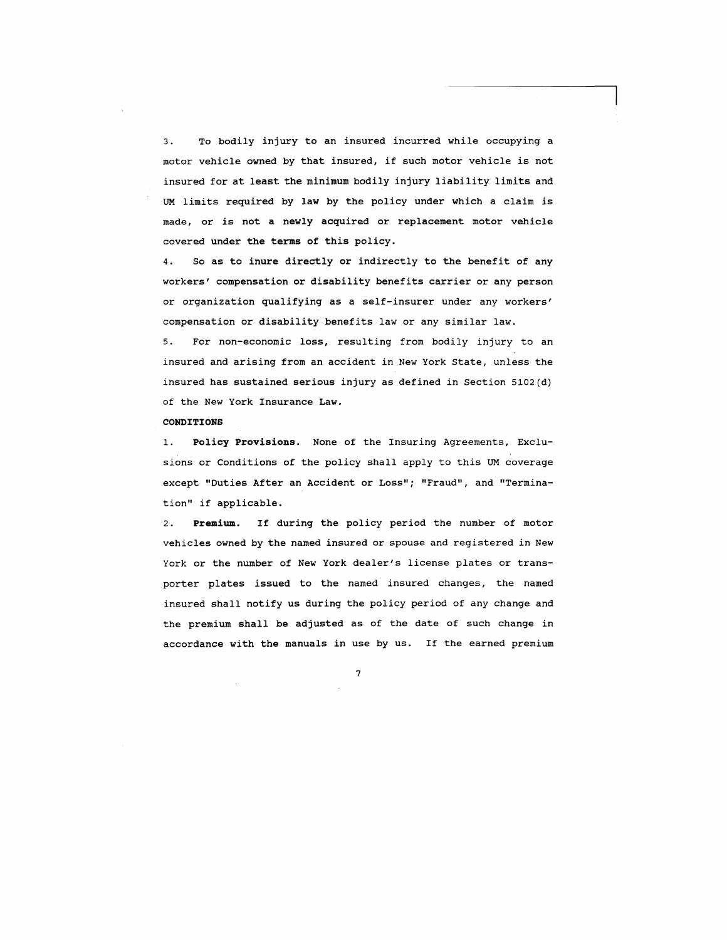3. To bodily injury to an insured incurred while occupying a motor vehicle owned by that insured, if such motor vehicle is not insured for at least the minimum bodily injury liability limits and UM limits required by law by the policy under which a claim is made, or is not a newly acquired or replacement motor vehicle covered under the terms of this policy.

4. So as to inure directly or indirectly to the benefit of any workers' compensation or disability benefits carrier or any person or organization qualifying as a self-insurer under any workers' compensation or disability benefits law or any similar law.

5. For non-economic loss, resulting from bodily injury to an insured and arising from an accident in New York State, unless the insured has sustained serious injury as defined in Section 5102(d) of the New York Insurance Law.

### **CONDITIONS**

1. **policy Provisions.** None of the Insuring Agreements, Exclusions or Conditions of the policy shall apply to this UM coverage except "Duties After an Accident or Loss"; "Fraud", and "Termination" if applicable.

2. **Premium.** If during the policy period the number of motor vehicles owned by the named insured or spouse and registered in New York or the number of New York dealer's license plates or transporter plates issued to the named insured changes, the named insured shall notify us during the policy period of any change and the premium shall be adjusted as of the date of such change in accordance with the manuals in use by us. If the earned premium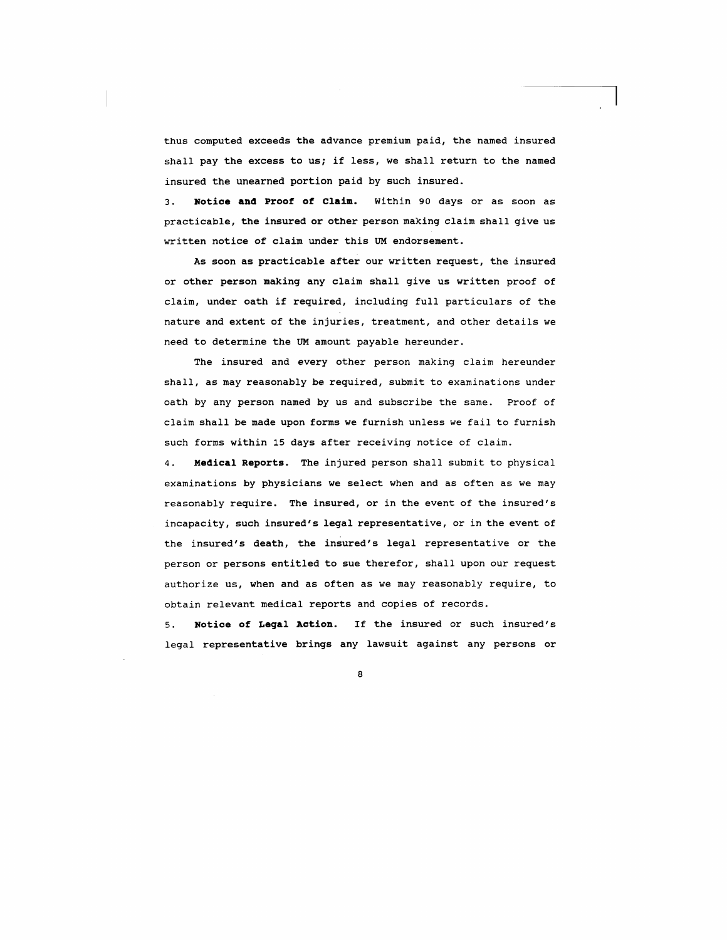thus computed exceeds the advance premium paid, the named insured shall pay the excess to us; if less, we shall return to the named insured the unearned portion paid by such insured.

3. **Notice and Proof of Claim.** within 90 days or as soon as practicable, the insured or other person making claim shall give us written notice of claim under this UM endorsement.

As soon as practicable after our written request, the insured or other person making any claim shall give us written proof of claim, under oath if required, including full particulars of the nature and extent of the injuries, treatment, and other details we need to determine the UM amount payable hereunder.

The insured and every other person making claim hereunder shall, as may reasonably be required, submit to examinations under oath by any person named by us and subscribe the same. Proof of claim shall be made upon forms we furnish unless we fail to furnish such forms within 15 days after receiving notice of claim.

4. **Medical Reports.** The injured person shall submit to physical examinations by physicians we select when and as often as we may reasonably require. The insured, or in the event of the insured's incapacity, such insured's legal representative, or in the event of the insured's death, the insured's legal representative or the person or persons entitled to sue therefor, shall upon our request authorize us, when and as often as we may reasonably require, to obtain relevant medical reports and copies of records.

5. **Notice of Leqal Action.** If the insured or such insured's legal representative brings any lawsuit against any persons or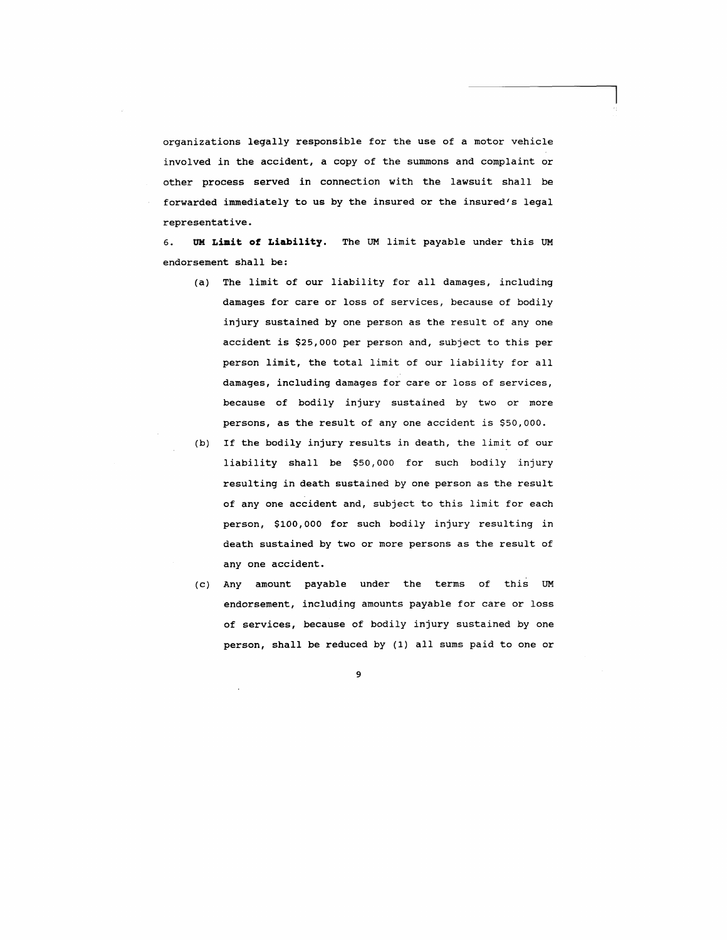organizations legally responsible for the use of a motor vehicle involved in the accident, a copy of the summons and complaint or other process served in connection with the lawsuit shall be forwarded immediately to us by the insured or the insured's legal representative.

6. **UK Limit of Liability.** The OM limit payable under this OM endorsement shall be:

- (a) The limit of our liability for all damages, including damages for care or loss of services, because of bodily injury sustained by one person as the result of anyone accident is \$25,000 per person and, subject to this per person limit, the total limit of our liability for all damages, including damages for care or loss of services, because of bodily injury sustained by two or more persons, as the result of anyone accident is \$50,000.
- (b) If the bodily injury results in death, the limit of our liability shall be \$50,000 for such bodily injury resulting in death sustained by one person as the result of any one accident and, subject to this limit for each person, \$100,000 for such bodily injury resulting in death sustained by two or more persons as the result of any one accident.
- (c) Any amount payable under the terms of this OM endorsement, including amounts payable for care or loss of services, because of bodily injury sustained by one person, shall be reduced by (1) all sums paid to one or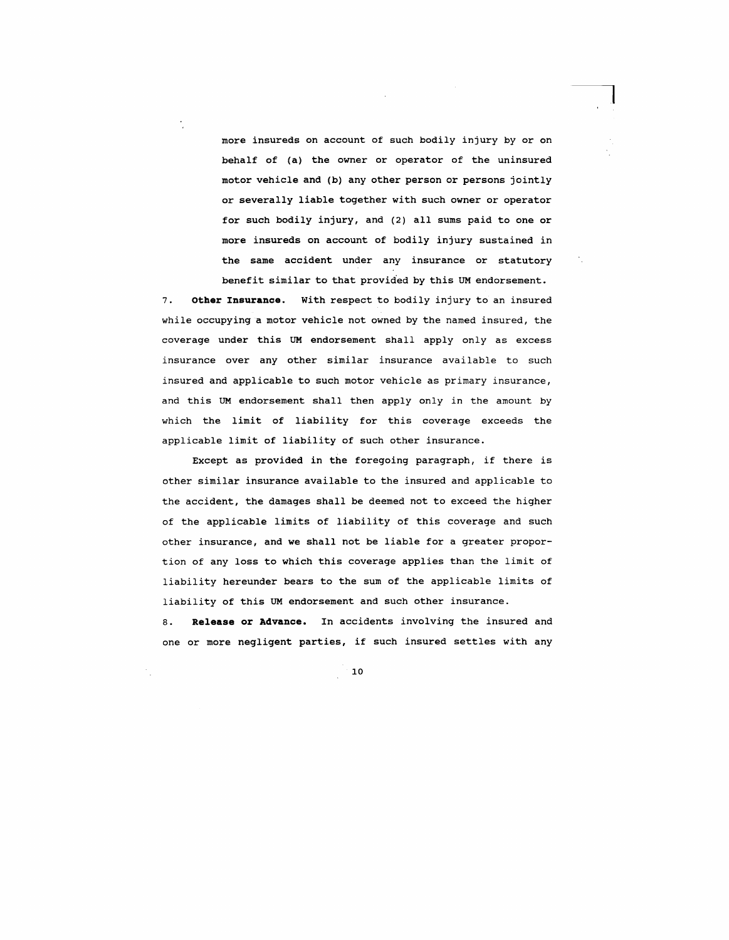more insureds on account of such bodily injury by or on behalf of (a) the owner or operator of the uninsured motor vehicle and (b) any other person or persons jointly or severally liable together with such owner or operator for such bodily injury, and (2) all sums paid to one or more insureds on account of bodily injury sustained in the same accident under any insurance or statutory benefit similar to that provided by this UM endorsement.

7. **other Insurance.** with respect to bodily injury to an insured while occupying a motor vehicle not owned by the named insured, the coverage under this UM endorsement shall apply only as excess insurance over any other similar insurance available to such insured and applicable to such motor vehicle as primary insurance, and this UM endorsement shall then apply only in the amount by which the limit of liability for this coverage exceeds the applicable limit of liability of such other insurance.

Except as provided in the foregoing paragraph, if there is other similar insurance available to the insured and applicable to the accident, the damages shall be deemed not to exceed the higher of the applicable limits of liability of this coverage and such other insurance, and we shall not be liable for a greater proportion of any loss to which this coverage applies than the limit of liability hereunder bears to the sum of the applicable limits of liability of this UM endorsement and such other insurance.

8. **Release or Advance.** In accidents involving the insured and one or more negligent parties, if such insured settles with any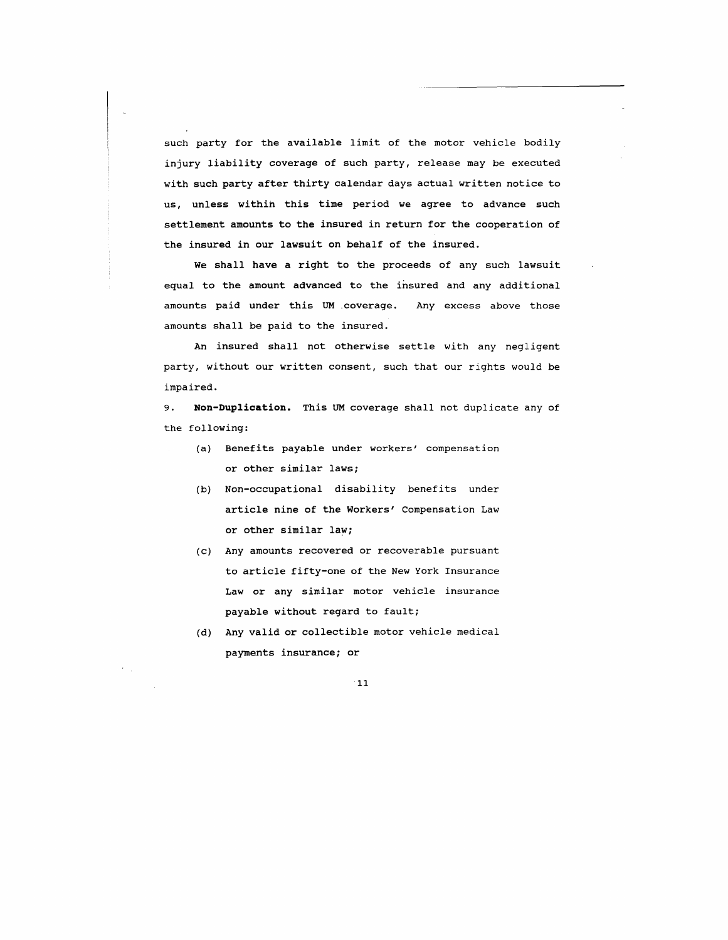such party for the available limit of the motor vehicle bodily injury liability coverage of such party, release may be executed with such party after thirty calendar days actual written notice to us, unless within this time period we agree to advance such settlement amounts to the insured in return for the cooperation of the insured in our lawsuit on behalf of the insured.

We shall have a right to the proceeds of any such lawsuit equal to the amount advanced to the insured and any additional amounts paid under this UM coverage. Any excess above those amounts shall be paid to the insured.

An insured shall not otherwise settle with any negligent party, without our written consent, such that our rights would be impaired.

9. **Non-Duplication.** This UM coverage shall not duplicate any of the following:

- (a) Benefits payable under workers' compensation or other similar laws;
- (b) Non-occupational disability benefits under article nine of the Workers' Compensation Law or other similar law;
- (c) Any amounts recovered or recoverable pursuant to article fifty-one of the New York Insurance Law or any similar motor vehicle insurance payable without regard to fault;
- (d) Any valid or collectible motor vehicle medical payments insurance; or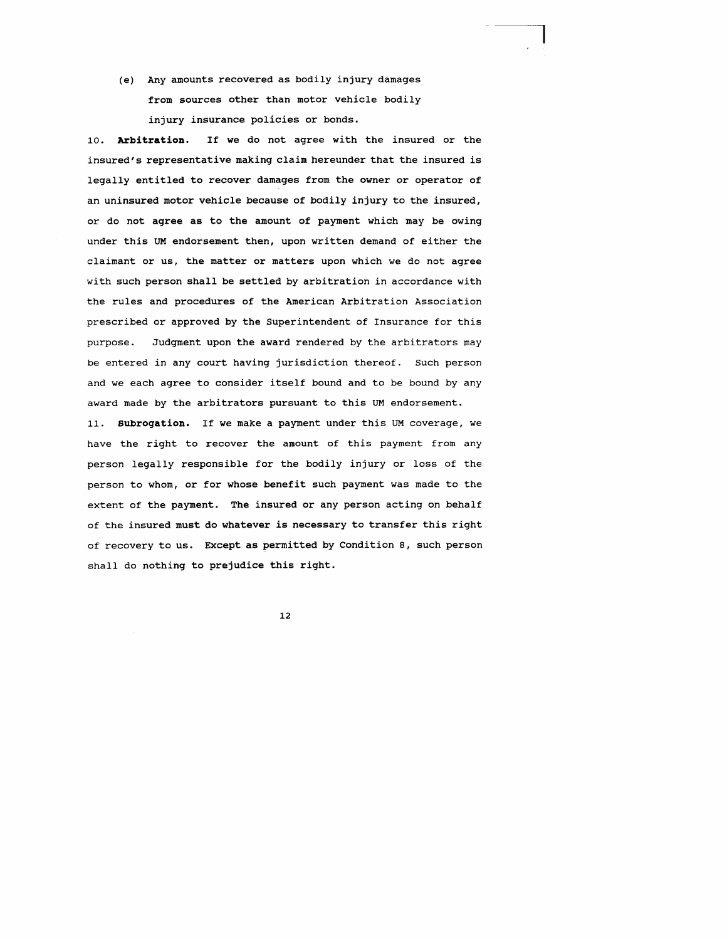*(e)* Any amounts recovered as bodily injury damages from sources other than motor vehicle bodily injury insurance policies or bonds.

10. **Arbitration.** If we do not agree with the insured or the insured's representative making claim hereunder that the insured is legally entitled to recover damages from the owner or operator of an uninsured motor vehicle because of bodily injury to the insured, or do not agree as to the amount of payment which may be owing under this UM endorsement then, upon written demand of either the claimant or us, the matter or matters upon which we do not agree with such person shall be settled by arbitration in accordance with the rules and procedures of the American Arbitration Association prescribed or approved by the Superintendent of Insurance for this purpose. Judgment upon the award rendered by the arbitrators may be entered in any court having jurisdiction thereof. Such person and we each agree to consider itself bound and to be bound by any award made by the arbitrators pursuant to this UM endorsement.

11. **Subrogation.** If we make a payment under this UM coverage, we have the right to recover the amount of this payment from any person legally responsible for the bodily injury or loss of the person to whom, or for whose benefit such payment was made to the extent of the payment. The insured or any person acting on behalf of the insured must do whatever is necessary to transfer this right of recovery to us. Except as permitted by Condition 8, such person shall do nothing to prejudice this right.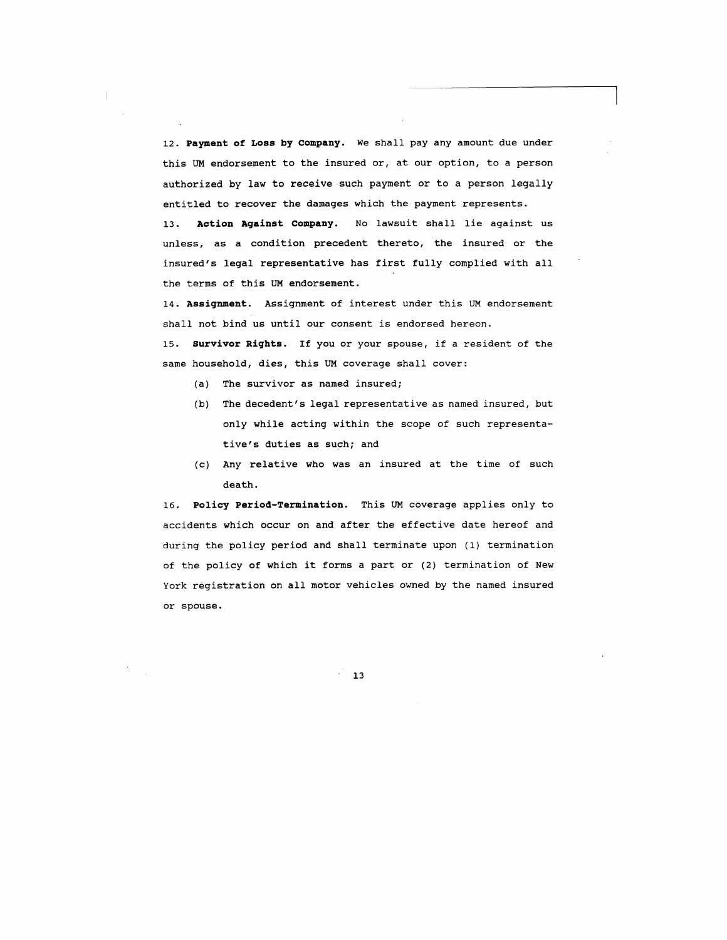12. **Payment of Loss by company.** We shall pay any amount due under this UM endorsement to the insured or, at our option, to a person authorized by law to receive such payment or to a person legally entitled to recover the damages which the payment represents. 13. **Action Against Company.** No lawsuit shall lie against us unless, as a condition precedent thereto, the insured or the insured's legal representative has first fully complied with all

the terms of this UM endorsement.

14. **Assignment.** Assignment of interest under this UM endorsement shall not bind us until our consent is endorsed hereon.

15. **Survivor Rights.** If you or your spouse, if a resident of the same household, dies, this UM coverage shall cover:

- (a) The survivor as named insured;
- (b) The decedent's legal representative as named insured, but only while acting within the scope of such representative's duties as such; and
- (c) Any relative who was an insured at the time of such death.

16. **Policy period-Termination.** This UM coverage applies only to accidents which occur on and after the effective date hereof and during the policy period and shall terminate upon (1) termination of the policy of which it forms a part or (2) termination of New York registration on all motor vehicles owned by the named insured or spouse.